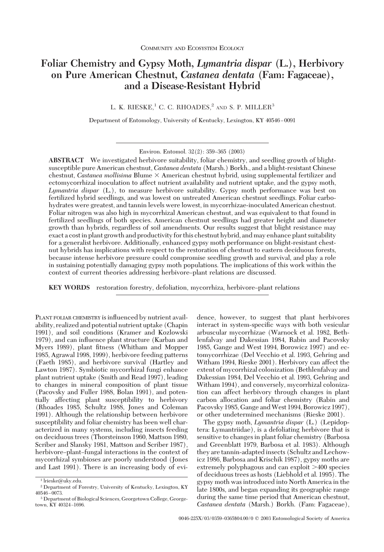# **Foliar Chemistry and Gypsy Moth,** *Lymantria dispar* **(L.), Herbivory on Pure American Chestnut,** *Castanea dentata* **(Fam: Fagaceae), and a Disease-Resistant Hybrid**

L. K. RIESKE,<sup>1</sup> C. C. RHOADES,<sup>2</sup> AND S. P. MILLER<sup>3</sup>

Department of Entomology, University of Kentucky, Lexington, KY 40546-0091

**ABSTRACT** We investigated herbivore suitability, foliar chemistry, and seedling growth of blightsusceptible pure American chestnut, *Castanea dentata* (Marsh.) Borkh., and a blight-resistant Chinese chestnut, *Castanea mollisima* Blume  $\times$  American chestnut hybrid, using supplemental fertilizer and ectomycorrhizal inoculation to affect nutrient availability and nutrient uptake, and the gypsy moth, *Lymantria dispar* (L.), to measure herbivore suitability. Gypsy moth performance was best on fertilized hybrid seedlings, and was lowest on untreated American chestnut seedlings. Foliar carbohydrates were greatest, and tannin levels were lowest, in mycorrhizae-inoculated American chestnut. Foliar nitrogen was also high in mycorrhizal American chestnut, and was equivalent to that found in fertilized seedlings of both species. American chestnut seedlings had greater height and diameter growth than hybrids, regardless of soil amendments. Our results suggest that blight resistance may exact a costin plant growth and productivity for this chestnut hybrid, and may enhance plant suitability for a generalist herbivore. Additionally, enhanced gypsy moth performance on blight-resistant chestnut hybrids has implications with respect to the restoration of chestnut to eastern deciduous forests, because intense herbivore pressure could compromise seedling growth and survival, and play a role in sustaining potentially damaging gypsy moth populations. The implications of this work within the context of current theories addressing herbivore-plant relations are discussed.

**KEY WORDS** restoration forestry, defoliation, mycorrhiza, herbivore-plant relations

PLANT FOLIAR CHEMISTRY is influenced by nutrient availability, realized and potential nutrient uptake (Chapin 1991), and soil conditions (Kramer and Kozlowski 1979), and can inßuence plant structure (Karban and Myers 1989), plant fitness (Whitham and Mopper 1985, Agrawal 1998, 1999), herbivore feeding patterns (Faeth 1985), and herbivore survival (Hartley and Lawton 1987). Symbiotic mycorrhizal fungi enhance plant nutrient uptake (Smith and Read 1997), leading to changes in mineral composition of plant tissue (Pacovsky and Fuller 1988, Bolan 1991), and potentially affecting plant susceptibility to herbivory (Rhoades 1985, Schultz 1988, Jones and Coleman 1991). Although the relationship between herbivore susceptibility and foliar chemistry has been well characterized in many systems, including insects feeding on deciduous trees (Thorsteinson 1960, Mattson 1980, Scriber and Slansky 1981, Mattson and Scriber 1987), herbivore-plant-fungal interactions in the context of mycorrhizal symbioses are poorly understood (Jones and Last 1991). There is an increasing body of evidence, however, to suggest that plant herbivores interact in system-specific ways with both vesicular arbuscular mycorrhizae (Warnock et al. 1982, Bethlenfalvay and Dakessian 1984, Rabin and Pacovsky 1985, Gange and West 1994, Borowicz 1997) and ectomycorrhizae (Del Vecchio et al. 1993, Gehring and Witham 1994, Rieske 2001). Herbivory can affect the extent of mycorrhizal colonization (Bethlenfalvay and Dakessian 1984, Del Vecchio et al. 1993, Gehring and Witham 1994), and conversely, mycorrhizal colonization can affect herbivory through changes in plant carbon allocation and foliar chemistry (Rabin and Pacovsky 1985, Gange and West 1994, Borowicz 1997), or other undetermined mechanisms (Rieske 2001).

The gypsy moth, *Lymantria dispar* (L.) (Lepidoptera: Lymantriidae), is a defoliating herbivore that is sensitive to changes in plant foliar chemistry (Barbosa and Greenblatt 1979, Barbosa et al. 1983). Although they are tannin-adapted insects (Schultz and Lechowicz 1986, Barbosa and Krischik 1987), gypsy moths are extremely polyphagous and can exploit >400 species of deciduous trees as hosts (Liebhold et al. 1995). The gypsy moth was introduced into North America in the late 1800s, and began expanding its geographic range during the same time period that American chestnut, *Castanea dentata* (Marsh.) Borkh. (Fam: Fagaceae),

Environ. Entomol. 32(2): 359-365 (2003)

<sup>1</sup> lrieske@uky.edu.

<sup>2</sup> Department of Forestry, University of Kentucky, Lexington, KY  $40546 - 0073.$ 

<sup>3</sup> Department of Biological Sciences, Georgetown College, Georgetown, KY 40324-1696.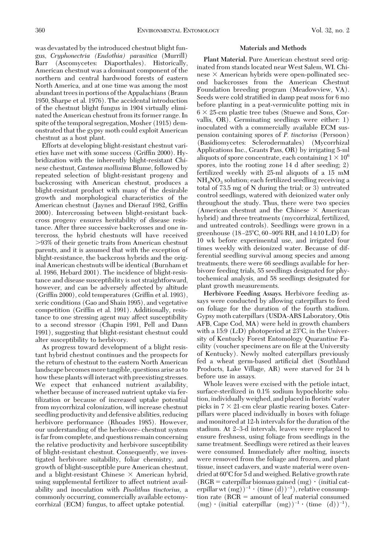was devastated by the introduced chestnut blight fungus, *Cryphonectria (Endothia) parasitica* (Murrill) Barr (Ascomycetes: Diaporthales). Historically, American chestnut was a dominant component of the northern and central hardwood forests of eastern North America, and at one time was among the most abundant trees in portions of the Appalachians (Braun 1950, Sharpe et al. 1976). The accidental introduction of the chestnut blight fungus in 1904 virtually eliminated the American chestnut from its former range. In spite of the temporal segregation, Mosher (1915) demonstrated that the gypsy moth could exploit American chestnut as a host plant.

Efforts at developing blight-resistant chestnut varieties have met with some success (Griffin 2000). Hybridization with the inherently blight-resistant Chinese chestnut, *Castanea mollisima* Blume, followed by repeated selection of blight-resistant progeny and backcrossing with American chestnut, produces a blight-resistant product with many of the desirable growth and morphological characteristics of the American chestnut (Jaynes and Dierauf 1982, Griffin 2000). Intercrossing between blight-resistant backcross progeny ensures heritability of disease resistance. After three successive backcrosses and one intercross, the hybrid chestnuts will have received -93% of their genetic traits from American chestnut parents, and it is assumed that with the exception of blight-resistance, the backcross hybrids and the original American chestnuts will be identical (Burnham et al. 1986, Hebard 2001). The incidence of blight-resistance and disease susceptibility is not straightforward, however, and can be adversely affected by altitude (Griffin 2000), cold temperatures (Griffin et al. 1993), xeric conditions (Gao and Shain 1995), and vegetative competition (Griffin et al. 1991). Additionally, resistance to one stressing agent may affect susceptibility to a second stressor (Chapin 1991, Pell and Dann 1991), suggesting that blight-resistant chestnut could alter susceptibility to herbivory.

As progress toward development of a blight resistant hybrid chestnut continues and the prospects for the return of chestnut to the eastern North American landscape becomes more tangible, questions arise as to how these plants will interact with preexisting stresses. We expect that enhanced nutrient availability, whether because of increased nutrient uptake via fertilization or because of increased uptake potential from mycorrhizal colonization, will increase chestnut seedling productivity and defensive abilities, reducing herbivore performance (Rhoades 1985). However, our understanding of the herbivore-chestnut system is far from complete, and questions remain concerning the relative productivity and herbivore susceptibility of blight-resistant chestnut. Consequently, we investigated herbivore suitability, foliar chemistry, and growth of blight-susceptible pure American chestnut, and a blight-resistant Chinese  $\times$  American hybrid, using supplemental fertilizer to affect nutrient availability and inoculation with *Pisolithus tinctorius,* a commonly occurring, commercially available ectomycorrhizal (ECM) fungus, to affect uptake potential.

## **Materials and Methods**

**Plant Material.** Pure American chestnut seed originated from stands located near West Salem, WI. Chinese  $\times$  American hybrids were open-pollinated second backcrosses from the American Chestnut Foundation breeding program (Meadowview, VA). Seeds were cold stratified in damp peat moss for 6 mo before planting in a peat-vermiculite potting mix in  $6 \times 25$ -cm plastic tree tubes (Stuewe and Sons, Corvallis, OR). Germinating seedlings were either: 1) inoculated with a commercially available ECM suspension containing spores of *P. tinctorius* (Persoon) (Basidiomycetes: Sclerodermatales) (Mycorrhizal Applications Inc., Grants Pass, OR) by irrigating 5-ml aliquots of spore concentrate, each containing  $1 \times 10^6$ spores, into the rooting zone 14 d after seeding; 2) fertilized weekly with 25-ml aliquots of a 15 mM  $NH<sub>4</sub>NO<sub>3</sub>$  solution; each fertilized seedling receiving a total of 73.5 mg of N during the trial; or 3) untreated control seedlings, watered with deionized water only throughout the study. Thus, there were two species (American chestnut and the Chinese  $\times$  American hybrid) and three treatments (mycorrhizal, fertilized, and untreated controls). Seedlings were grown in a greenhouse  $(18-25^{\circ}\text{C}, 60-90\% \text{ RH}, \text{and } 14:10 \text{ L:D})$  for 10 wk before experimental use, and irrigated four times weekly with deionized water. Because of differential seedling survival among species and among treatments, there were 66 seedlings available for herbivore feeding trials, 55 seedlings designated for phytochemical analysis, and 58 seedlings designated for plant growth measurements.

**Herbivore Feeding Assays.** Herbivore feeding assays were conducted by allowing caterpillars to feed on foliage for the duration of the fourth stadium. Gypsy moth caterpillars (USDA-ARS Laboratory, Otis AFB, Cape Cod, MA) were held in growth chambers with a 15:9 (L:D) photoperiod at  $23^{\circ}$ C, in the University of Kentucky Forest Entomology Quarantine Facility (voucher specimens are on file at the University of Kentucky). Newly molted caterpillars previously fed a wheat germ-based artificial diet (Southland Products, Lake Village, AR) were starved for 24 h before use in assays.

Whole leaves were excised with the petiole intact, surface-sterilized in 0.1% sodium hypochlorite solution, individually weighed, and placed in florists' water picks in  $7 \times 21$ -cm clear plastic rearing boxes. Caterpillars were placed individually in boxes with foliage and monitored at 12-h intervals for the duration of the stadium. At 2-3-d intervals, leaves were replaced to ensure freshness, using foliage from seedlings in the same treatment. Seedlings were retired as their leaves were consumed. Immediately after molting, insects were removed from the foliage and frozen, and plant tissue, insect cadavers, and waste material were ovendried at 60°C for 5 d and weighed. Relative growth rate  $(RGR = \text{caterpillar biomass gained (mg) · (initial cat$ erpillar wt  $(mg))^{-1}$  · (time  $(d))^{-1}$ ), relative consumption rate ( $RCR =$  amount of leaf material consumed  $(mg) \cdot (initial \text{ caterpillar } (mg))^{-1} \cdot (time \text{ } (d))^{-1}),$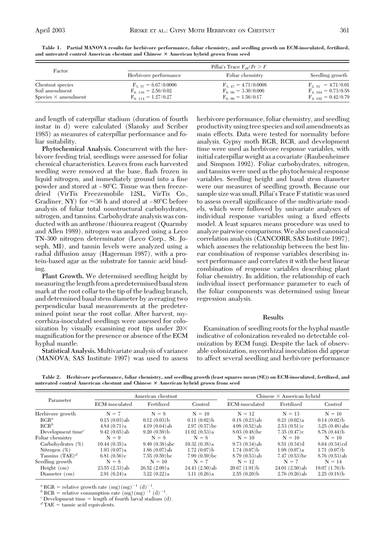|                            |                          | Pillai's Trace $F_{AF}/Pr > F$ |                         |  |  |  |  |
|----------------------------|--------------------------|--------------------------------|-------------------------|--|--|--|--|
| Factor                     | Herbivore performance    | Foliar chemistry               | Seedling growth         |  |  |  |  |
| Chestnut species           | $F_{3.57} = 6.67/0.0006$ | $F_{3,47} = 4.71/0.0008$       | $F_{2.51} = 4.71/0.01$  |  |  |  |  |
| Soil amendment             | $F_{6-116} = 2.56/0.02$  | $F_{6.96} = 3.30/0.006$        | $F_{4-104} = 0.73/0.58$ |  |  |  |  |
| Species $\times$ amendment | $F_{6-114} = 1.27/0.27$  | $F_{6.96} = 1.56/0.17$         | $F_{4-102} = 0.42/0.79$ |  |  |  |  |

**Table 1. Partial MANOVA results for herbivore performance, foliar chemistry, and seedling growth on ECM-inoculated, fertilized, and untreated control American chestnut and Chinese American hybrid grown from seed**

and length of caterpillar stadium (duration of fourth instar in d) were calculated (Slansky and Scriber 1985) as measures of caterpillar performance and foliar suitability.

**Phytochemical Analysis.** Concurrent with the herbivore feeding trial, seedlings were assessed for foliar chemical characteristics. Leaves from each harvested seedling were removed at the base, flash frozen in liquid nitrogen, and immediately ground into a fine powder and stored at -80°C. Tissue was then freezedried (VirTis Freezemobile 12SL, VirTis Co., Gradiner, NY) for  $\approx 36$  h and stored at  $-80^{\circ}$ C before analysis of foliar total nonstructural carbohydrates, nitrogen, and tannins. Carbohydrate analysis was conducted with an anthrone/thiourea reagent (Quarmby and Allen 1989), nitrogen was analyzed using a Leco TN-300 nitrogen determinator (Leco Corp., St. Joseph, MI), and tannin levels were analyzed using a radial diffusion assay (Hagerman 1987), with a protein-based agar as the substrate for tannic acid binding.

**Plant Growth.** We determined seedling height by measuring thelength from a predetermined basal stem mark at the root collar to the tip of the leading branch, and determined basal stem diameter by averaging two perpendicular basal measurements at the predetermined point near the root collar. After harvest, mycorrhiza-inoculated seedlings were assessed for colonization by visually examining root tips under  $20\times$ magnification for the presence or absence of the ECM hyphal mantle.

**Statistical Analysis.** Multivariate analysis of variance (MANOVA; SAS Institute 1997) was used to assess herbivore performance, foliar chemistry, and seedling productivity using tree species and soil amendments as main effects. Data were tested for normality before analysis. Gypsy moth RGR, RCR, and development time were used as herbivore response variables, with initial caterpillar weight as a covariate (Raubenheimer and Simpson 1992). Foliar carbohydrates, nitrogen, and tannins were used as the phytochemical response variables. Seedling height and basal stem diameter were our measures of seedling growth. Because our sample size was small, Pillai's Trace F statistic was used to assess overall significance of the multivariate models, which were followed by univariate analyses of individual response variables using a fixed effects model. A least squares means procedure was used to analyze pairwise comparisons. We also used canonical correlation analysis (CANCORR, SAS Institute 1997), which assesses the relationship between the best linear combination of response variables describing insect performance and correlates it with the best linear combination of response variables describing plant foliar chemistry. In addition, the relationship of each individual insect performance parameter to each of the foliar components was determined using linear regression analysis.

## **Results**

Examination of seedling roots for the hyphal mantle indicative of colonization revealed no detectable colonization by ECM fungi. Despite the lack of observable colonization, mycorrhizal inoculation did appear to affect several seedling and herbivore performance

**Table 2. Herbivore performance, foliar chemistry, and seedling growth (least squares mean (SE)) on ECM-inoculated, fertilized, and untreated control American chestnut and Chinese American hybrid grown from seed**

|                       | American chestnut |                            |                            | Chinese $\times$ American hybrid |                            |                  |  |
|-----------------------|-------------------|----------------------------|----------------------------|----------------------------------|----------------------------|------------------|--|
| Parameter             | ECM-inoculated    | Fertilized                 | Control                    | ECM-inoculated                   | Fertilized                 | Control          |  |
| Herbivore growth      | $N = 7$           | $N = 8$                    | $N = 10$                   | $N = 12$                         | $N = 13$                   | $N = 16$         |  |
| $RGR^a$               | $0.15(0.03)$ ab   | 0.12(0.03)                 | 0.11(0.02)                 | $0.18(0.23)$ ab                  | 0.21(0.02)a                | 0.14(0.02)       |  |
| $RCR^b$               | 4.84(0.71)a       | $4.19(0.64)$ ab            | $2.97(0.57)$ <sub>bc</sub> | $4.08(0.52)$ ab                  | 2.53(0.51)c                | $3.25(0.48)$ abc |  |
| Development time $^c$ | $9.42(0.65)$ ab   | 9.20(0.59)                 | 11.02(0.53)a               | $8.03(0.48)$ <sub>bc</sub>       | 7.35(0.47)c                | 8.78(0.44)       |  |
| Foliar chemistry      | $N = 9$           | $N = 8$                    | $N = 8$                    | $N = 10$                         | $N = 10$                   | $N = 10$         |  |
| Carbohydrates (%)     | 10.44(0.35)a      | $9.49(0.38)$ abc           | 10.32(0.38)a               | $9.73(0.34)$ ab                  | $8.51(0.34)$ d             | $8.64(0.34)$ ed  |  |
| Nitrogen $(\%)$       | 1.93(0.07)a       | $1.86(0.07)$ ab            | 1.72(0.07)                 | $1.74(0.07)$ <sub>b</sub>        | 1.98(0.07)a                | 1.71(0.07)       |  |
| Tannins $(TAE)^d$     | 6.81 $(0.56)c$    | $7.55(0.59)$ <sub>bc</sub> | $7.99(0.59)$ <sub>bc</sub> | $8.79(0.53)$ ab                  | $7.47(0.53)$ <sub>bc</sub> | $8.76(0.53)$ ab  |  |
| Seedling growth       | $N = 8$           | $N = 10$                   | $N = 7$                    | $N = 12$                         | $N = 7$                    | $N = 14$         |  |
| Height $(cm)$         | $23.55(2.33)$ ab  | 26.52(2.09)a               | $24.43(2.50)$ ab           | 20.67(1.91)                      | 24.01(2.50)ab              | 19.07(1.76)      |  |
| Diameter (cm)         | 2.91(0.24)a       | 3.22(0.22)a                | 3.11(0.26)a                | 2.55(0.20)                       | $2.76(0.26)$ ab            | $2.25(0.18)$ b   |  |

<sup>*a*</sup> RGR = relative growth rate (mg)(mg)<sup>-1</sup> (d)<sup>-1</sup>.

 $b$  RCR = relative consumption rate (mg)(mg)<sup>-1</sup> (d)<sup>-1</sup>.

 $^c$  Development time = length of fourth larval stadium (d).  $^d$  TAE = tannic acid equivalents.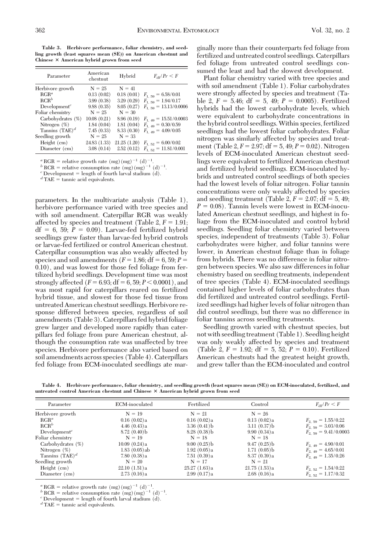**Table 3. Herbivore performance, foliar chemistry, and seedling growth (least squares mean (SE)) on American chestnut and Chinese American hybrid grown from seed**

| Parameter                | American<br>chestnut | Hybrid      | $F_{\rm af}/Pr \leq F$    |
|--------------------------|----------------------|-------------|---------------------------|
| Herbivore growth         | $N = 25$             | $N = 41$    |                           |
| $RGR^a$                  | 0.13(0.02)           | 0.18(0.01)  | $F_{1,59} = 6.58/0.01$    |
| $RCR^b$                  | 3.99(0.38)           | 3.29(0.29)  | $F_{1,59} = 1.94/0.17$    |
| Development <sup>c</sup> | 9.88(0.35)           | 8.05(0.27)  | $F_{1,59} = 13.13/0.0006$ |
| Foliar chemistry         | $N = 25$             | $N = 30$    |                           |
| Carbohydrates (%)        | 10.08(0.21)          | 8.96(0.19)  | $F_{1-49} = 15.51/0.0003$ |
| Nitrogen $(\%)$          | 1.84(0.04)           | 1.81(0.04)  | $F_{1-49} = 0.30/0.59$    |
| Tannins $(TAE)^d$        | 7.45(0.33)           | 8.33(0.30)  | $F_{1-49} = 4.09/0.05$    |
| Seedling growth          | $N = 25$             | $N = 33$    |                           |
| Height $(cm)$            | 24.83 (1.33)         | 21.25(1.20) | $F_{1.52} = 6.00/0.02$    |
| Diameter (cm)            | 3.08(0.14)           | 2.52(0.12)  | $F_{1,52} = 11.81/0.001$  |

<sup>*a*</sup> RGR = relative growth rate (mg)(mg)<sup>-1</sup> (d)<sup>-1</sup>.

 $b^b$  RCR = relative consumption rate  $(\text{mg})(\text{mg})^{-1}$  (d)<sup>-1</sup>.

<sup>*c*</sup> Development = length of fourth larval stadium (d).  $d$  TAE = tannic acid equivalents.

parameters. In the multivariate analysis (Table 1), herbivore performance varied with tree species and with soil amendment. Caterpillar RGR was weakly affected by species and treatment (Table 2,  $F = 1.91$ ;  $df = 6$ , 59;  $P = 0.09$ ). Larvae-fed fertilized hybrid seedlings grew faster than larvae-fed hybrid controls or larvae-fed fertilized or control American chestnut. Caterpillar consumption was also weakly affected by species and soil amendments ( $F = 1.86$ ; df = 6, 59;  $P =$ 0.10), and was lowest for those fed foliage from fertilized hybrid seedlings. Development time was most strongly affected  $(F = 6.93; df = 6, 59; P < 0.0001)$ , and was most rapid for caterpillars reared on fertilized hybrid tissue, and slowest for those fed tissue from untreated American chestnut seedlings. Herbivore response differed between species, regardless of soil amendments (Table 3). Caterpillars fed hybrid foliage grew larger and developed more rapidly than caterpillars fed foliage from pure American chestnut, although the consumption rate was unaffected by tree species. Herbivore performance also varied based on soil amendments across species (Table 4). Caterpillars fed foliage from ECM-inoculated seedlings ate marginally more than their counterparts fed foliage from fertilized and untreated control seedlings. Caterpillars fed foliage from untreated control seedlings consumed the least and had the slowest development.

Plant foliar chemistry varied with tree species and with soil amendment (Table 1). Foliar carbohydrates were strongly affected by species and treatment (Table 2,  $F = 5.46$ ; df = 5, 49;  $P = 0.0005$ ). Fertilized hybrids had the lowest carbohydrate levels, which were equivalent to carbohydrate concentrations in the hybrid control seedlings.Within species, fertilized seedlings had the lowest foliar carbohydrates. Foliar nitrogen was similarly affected by species and treatment (Table 2,  $F = 2.97$ ;  $df = 5$ , 49;  $P = 0.02$ ). Nitrogen levels of ECM-inoculated American chestnut seedlings were equivalent to fertilized American chestnut and fertilized hybrid seedlings. ECM-inoculated hybrids and untreated control seedlings of both species had the lowest levels of foliar nitrogen. Foliar tannin concentrations were only weakly affected by species and seedling treatment (Table 2,  $F = 2.07$ ; df = 5, 49;  $P = 0.08$ ). Tannin levels were lowest in ECM-inoculated American chestnut seedlings, and highest in foliage from the ECM-inoculated and control hybrid seedlings. Seedling foliar chemistry varied between species, independent of treatments (Table 3). Foliar carbohydrates were higher, and foliar tannins were lower, in American chestnut foliage than in foliage from hybrids. There was no difference in foliar nitrogen between species. We also saw differences in foliar chemistry based on seedling treatments, independent of tree species (Table 4). ECM-inoculated seedlings contained higher levels of foliar carbohydrates than did fertilized and untreated control seedlings. Fertilized seedlings had higher levels of foliar nitrogen than did control seedlings, but there was no difference in foliar tannins across seedling treatments.

Seedling growth varied with chestnut species, but not with seedling treatment (Table 1). Seedling height was only weakly affected by species and treatment (Table 2,  $F = 1.92$ ; df = 5, 52;  $P = 0.10$ ). Fertilized American chestnuts had the greatest height growth, and grew taller than the ECM-inoculated and control

**Table 4. Herbivore performance, foliar chemistry, and seedling growth (least squares mean (SE)) on ECM-inoculated, fertilized, and untreated control American chestnut and Chinese American hybrid grown from seed**

| Parameter         | ECM-inoculated  | Fertilized   | Control        | $F_{\rm dr}/Pr \leq F$   |
|-------------------|-----------------|--------------|----------------|--------------------------|
| Herbivore growth  | $N = 19$        | $N = 21$     | $N = 26$       |                          |
| $RGR^a$           | 0.16(0.02)a     | 0.16(0.02)a  | 0.13(0.02)a    | $F_{2,59} = 1.55/0.22$   |
| $RCR^b$           | 4.46(0.43)a     | 3.36(0.41)   | $3.11(0.37)$ b | $F_{2,59} = 3.03/0.06$   |
| $Development^c$   | 8.72(0.40)      | 8.28(0.38)   | 9.90(0.34)a    | $F_{2,59} = 9.41/0.0003$ |
| Foliar chemistry  | $N = 19$        | $N = 18$     | $N = 18$       |                          |
| Carbohydrates (%) | 10.09(0.24)a    | 9.00(0.25)   | 9.47(0.25)     | $F_{2,49} = 4.90/0.01$   |
| Nitrogen $(\%)$   | $1.83(0.05)$ ab | 1.92(0.05)a  | 1.71(0.05)     | $F_{2,49} = 4.65/0.01$   |
| Tannins $(TAE)^d$ | 7.80(0.38)a     | 7.51(0.39)a  | 8.37(0.39)a    | $F_{2,49} = 1.35/0.26$   |
| Seedling growth   | $N = 20$        | $N = 17$     | $N = 21$       |                          |
| Height $(cm)$     | 22.10(1.51)a    | 25.27(1.63)a | 21.75(1.53)a   | $F_{2.52} = 1.54/0.22$   |
| Diameter (cm)     | 2.73(0.16)a     | 2.99(0.17)a  | 2.68(0.16)a    | $F_{2,52} = 1.17/0.32$   |

<sup>*a*</sup> RGR = relative growth rate (mg)(mg)<sup>-1</sup> (d)<sup>-1</sup>.

 $b$  RCR = relative consumption rate (mg)(mg)<sup>-1</sup> (d)<sup>-1</sup>.

<sup>*c*</sup> Development = length of fourth larval stadium (d).  $d$  TAE = tannic acid equivalents.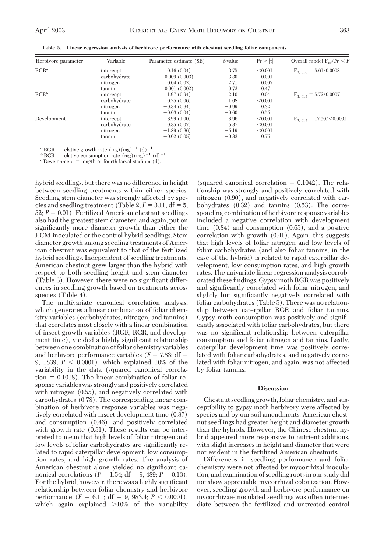|  |  | Table 5. Linear regression analysis of herbivore performance with chestnut seedling foliar components |  |  |  |  |
|--|--|-------------------------------------------------------------------------------------------------------|--|--|--|--|
|--|--|-------------------------------------------------------------------------------------------------------|--|--|--|--|

| Herbivore parameter | Variable     | Parameter estimate (SE) | t-value | Pr >  t | Overall model $F_{\text{df}}/Pr \leq F$ |
|---------------------|--------------|-------------------------|---------|---------|-----------------------------------------|
| $RGR^a$             | intercept    | 0.16(0.04)              | 3.75    | < 0.001 | $F_{3.613} = 5.61/0.0008$               |
|                     | carbohydrate | $-0.009(0.003)$         | $-3.30$ | 0.001   |                                         |
|                     | nitrogen     | 0.04(0.02)              | 2.71    | 0.007   |                                         |
|                     | tannin       | 0.001(0.002)            | 0.72    | 0.47    |                                         |
| $RCR^b$             | intercept    | 1.97(0.94)              | 2.10    | 0.04    | $F_{3.613} = 5.72/0.0007$               |
|                     | carbohydrate | 0.25(0.06)              | 1.08    | < 0.001 |                                         |
|                     | nitrogen     | $-0.34(0.34)$           | $-0.99$ | 0.32    |                                         |
|                     | tannin       | $-0.03(0.04)$           | $-0.60$ | 0.55    |                                         |
| $Development^c$     | intercept    | 8.99(1.00)              | 8.96    | < 0.001 | $F_{3.613} = 17.50 / \le 0.0001$        |
|                     | carbohydrate | 0.35(0.07)              | 5.37    | < 0.001 |                                         |
|                     | nitrogen     | $-1.89(0.36)$           | $-5.19$ | < 0.001 |                                         |
|                     | tannin       | $-0.02(0.05)$           | $-0.32$ | 0.75    |                                         |

<sup>*a*</sup> RGR = relative growth rate (mg)(mg)<sup>-1</sup> (d)<sup>-1</sup>.

 $b$  RCR = relative consumption rate (mg)(mg)<sup>-1</sup> (d)<sup>-1</sup>.

 $c$  Development = length of fourth larval stadium  $(d)$ .

hybrid seedlings, but there was no difference in height between seedling treatments within either species. Seedling stem diameter was strongly affected by species and seedling treatment (Table 2,  $F = 3.11$ ; df = 5,  $52; P = 0.01$ . Fertilized American chestnut seedlings also had the greatest stem diameter, and again, put on significantly more diameter growth than either the ECM-inoculated or the control hybrid seedlings. Stem diameter growth among seedling treatments of American chestnut was equivalent to that of the fertilized hybrid seedlings. Independent of seedling treatments, American chestnut grew larger than the hybrid with respect to both seedling height and stem diameter (Table 3). However, there were no significant differences in seedling growth based on treatments across species (Table 4).

The multivariate canonical correlation analysis, which generates a linear combination of foliar chemistry variables (carbohydrates, nitrogen, and tannins) that correlates most closely with a linear combination of insect growth variables (RGR, RCR, and development time), yielded a highly significant relationship between one combination of foliar chemistry variables and herbivore performance variables  $(F = 7.83; df =$ 9, 1839;  $P < 0.0001$ ), which explained 10% of the variability in the data (squared canonical correla- $\tau$  tion = 0.1018). The linear combination of foliar response variables was strongly and positively correlated with nitrogen (0.55), and negatively correlated with carbohydrates (0.78). The corresponding linear combination of herbivore response variables was negatively correlated with insect development time (0.87) and consumption (0.46), and positively correlated with growth rate (0.51). These results can be interpreted to mean that high levels of foliar nitrogen and low levels of foliar carbohydrates are significantly related to rapid caterpillar development, low consumption rates, and high growth rates. The analysis of American chestnut alone yielded no significant canonical correlations  $(F = 1.54; df = 9, 489; P = 0.13)$ . For the hybrid, however, there was a highly significant relationship between foliar chemistry and herbivore performance  $(F = 6.11; df = 9, 983.4; P < 0.0001)$ , which again explained >10% of the variability

(squared canonical correlation  $= 0.1042$ ). The relationship was strongly and positively correlated with nitrogen (0.90), and negatively correlated with carbohydrates (0.32) and tannins (0.53). The corresponding combination of herbivore response variables included a negative correlation with development time (0.84) and consumption (0.65), and a positive correlation with growth (0.41). Again, this suggests that high levels of foliar nitrogen and low levels of foliar carbohydrates (and also foliar tannins, in the case of the hybrid) is related to rapid caterpillar development, low consumption rates, and high growth rates. The univariate linear regression analysis corroborated these findings. Gypsy moth RGR was positively and significantly correlated with foliar nitrogen, and slightly but significantly negatively correlated with foliar carbohydrates (Table 5). There was no relationship between caterpillar RGR and foliar tannins. Gypsy moth consumption was positively and signiÞcantly associated with foliar carbohydrates, but there was no significant relationship between caterpillar consumption and foliar nitrogen and tannins. Lastly, caterpillar development time was positively correlated with foliar carbohydrates, and negatively correlated with foliar nitrogen, and again, was not affected by foliar tannins.

## **Discussion**

Chestnut seedling growth, foliar chemistry, and susceptibility to gypsy moth herbivory were affected by species and by our soil amendments. American chestnut seedlings had greater height and diameter growth than the hybrids. However, the Chinese chestnut hybrid appeared more responsive to nutrient additions, with slight increases in height and diameter that were not evident in the fertilized American chestnuts.

Differences in seedling performance and foliar chemistry were not affected by mycorrhizal inoculation, and examination of seedling rootsin our study did not show appreciable mycorrhizal colonization. However, seedling growth and herbivore performance on mycorrhizae-inoculated seedlings was often intermediate between the fertilized and untreated control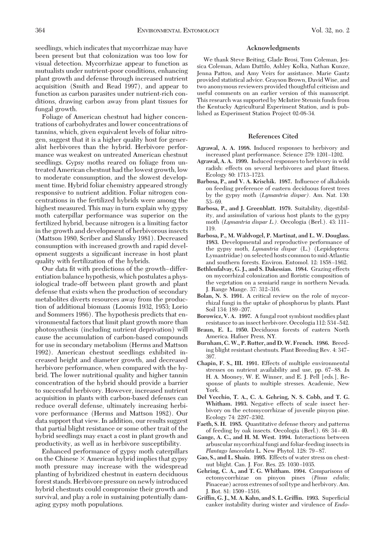seedlings, which indicates that mycorrhizae may have been present but that colonization was too low for visual detection. Mycorrhizae appear to function as mutualists under nutrient-poor conditions, enhancing plant growth and defense through increased nutrient acquisition (Smith and Read 1997), and appear to function as carbon parasites under nutrient-rich conditions, drawing carbon away from plant tissues for fungal growth.

Foliage of American chestnut had higher concentrations of carbohydrates and lower concentrations of tannins, which, given equivalent levels of foliar nitrogen, suggest that it is a higher quality host for generalist herbivores than the hybrid. Herbivore performance was weakest on untreated American chestnut seedlings. Gypsy moths reared on foliage from untreated American chestnut had the lowest growth, low to moderate consumption, and the slowest development time. Hybrid foliar chemistry appeared strongly responsive to nutrient addition. Foliar nitrogen concentrations in the fertilized hybrids were among the highest measured. This may in turn explain why gypsy moth caterpillar performance was superior on the fertilized hybrid, because nitrogen is a limiting factor in the growth and development of herbivorous insects (Mattson 1980, Scriber and Slansky 1981). Decreased consumption with increased growth and rapid development suggests a significant increase in host plant quality with fertilization of the hybrids.

Our data fit with predictions of the growth-differentiation balance hypothesis, which postulates a physiological trade-off between plant growth and plant defense that exists when the production of secondary metabolites diverts resources away from the production of additional biomass (Loomis 1932, 1953; Lorio and Sommers 1986). The hypothesis predicts that environmental factors that limit plant growth more than photosynthesis (including nutrient deprivation) will cause the accumulation of carbon-based compounds for use in secondary metabolism (Herms and Mattson 1992). American chestnut seedlings exhibited increased height and diameter growth, and decreased herbivore performance, when compared with the hybrid. The lower nutritional quality and higher tannin concentration of the hybrid should provide a barrier to successful herbivory. However, increased nutrient acquisition in plants with carbon-based defenses can reduce overall defense, ultimately increasing herbivore performance (Herms and Mattson 1982). Our data support that view. In addition, our results suggest that partial blight resistance or some other trait of the hybrid seedlings may exact a cost in plant growth and productivity, as well as in herbivore susceptibility.

Enhanced performance of gypsy moth caterpillars on the Chinese  $\times$  American hybrid implies that gypsy moth pressure may increase with the widespread planting of hybridized chestnut in eastern deciduous forest stands. Herbivore pressure on newlyintroduced hybrid chestnuts could compromise their growth and survival, and play a role in sustaining potentially damaging gypsy moth populations.

## **Acknowledgments**

We thank Steve Beiting, Glade Brosi, Tom Coleman, Jessica Coleman, Adam Dattilo, Ashley Kolka, Nathan Kunze, Jenna Patton, and Amy Veirs for assistance. Marie Gantz provided statistical advice. Grayson Brown, David Wise, and two anonymous reviewers provided thoughtful criticism and useful comments on an earlier version of this manuscript. This research was supported by McIntire Stennis funds from the Kentucky Agricultural Experiment Station, and is published as Experiment Station Project 02-08-34.

## **References Cited**

- **Agrawal, A. A. 1998.** Induced responses to herbivory and increased plant performance. Science 279: 1201-1202.
- **Agrawal, A. A. 1999.** Induced responses to herbivory in wild radish: effects on several herbivores and plant fitness. Ecology 80: 1713–1723.
- **Barbosa, P., and V. A. Krischik. 1987.** Inßuence of alkaloids on feeding preference of eastern deciduous forest trees by the gypsy moth (*Lymantria dispar).* Am. Nat. 130:  $53 - 69.$
- **Barbosa, P., and J. Greenblatt. 1979.** Suitability, digestibility, and assimilation of various host plants to the gypsy moth (*Lymantria dispar L.*). Oecologia (Berl.). 43: 111– 119.
- **Barbosa, P., M. Waldvogel, P. Martinat, and L. W. Douglass. 1983.** Developmental and reproductive performance of the gypsy moth, *Lymantria dispar* (L.) (Lepidoptera: Lymantriidae) on selected hosts common to mid-Atlantic and southern forests. Environ. Entomol. 12: 1858-1862.
- **Bethlenfalvay, G. J., and S. Dakessian. 1984.** Grazing effects on mycorrhizal colonization and ßoristic composition of the vegetation on a semiarid range in northern Nevada. J. Range Mange. 37: 312-316.
- **Bolan, N. S. 1991.** A critical review on the role of mycorrhizal fungi in the uptake of phosphorus by plants. Plant Soil 134: 189-207.
- Borowicz, V. A. 1997. A fungal root symbiont modifies plant resistance to an insect herbivore. Oecologia 112: 534-542.
- **Braun, E. L. 1950.** Deciduous forests of eastern North America. Hafner Press, NY.
- **Burnham, C. W., P. Rutter, and D. W. French. 1986.** Breeding blight resistant chestnuts. Plant Breeding Rev. 4: 347– 397.
- **Chapin, F. S., III. 1991.** Effects of multiple environmental stresses on nutrient availability and use, pp. 67-88. In H. A. Mooney, W. E. Winner, and E. J. Pell [eds.], Response of plants to multiple stresses. Academic, New York.
- **Del Vecchio, T. A., C. A. Gehring, N. S. Cobb, and T. G. Whitham. 1993.** Negative effects of scale insect herbivory on the ectomycorrhizae of juvenile pinyon pine. Ecology 74: 2297–2302.
- **Faeth, S. H. 1985.** Quantitative defense theory and patterns of feeding by oak insects. Oecologia (Berl.). 68: 34-40.
- **Gange, A. C., and H. M. West. 1994.** Interactions between arbuscular mycorrhizal fungi and foliar-feeding insects in *Plantago lanceolata* L. New Phytol. 128: 79-87.
- **Gao, S., and L. Shain. 1995.** Effects of water stress on chestnut blight. Can. J. For. Res. 25: 1030-1035.
- **Gehring, C. A., and T. G. Whitham. 1994.** Comparisons of ectomycorrhizae on pinyon pines (*Pinus edulis*; Pinaceae) across extremes of soil type and herbivory. Am. J. Bot. 81: 1509-1516.
- Griffin, G. J., M. A. Kahn, and S. L. Griffin. 1993. Superficial canker instability during winter and virulence of *Endo-*